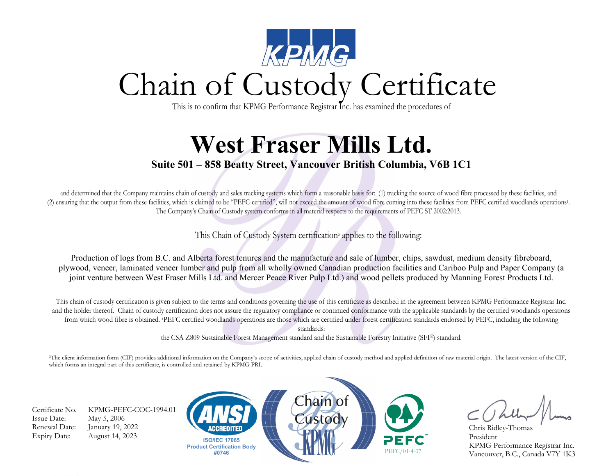

This is to confirm that KPMG Performance Registrar Inc. has examined the procedures of

## **West Fraser Mills Ltd.**

## **Suite 501 – 858 Beatty Street, Vancouver British Columbia, V6B 1C1**

and determined that the Company maintains chain of custody and sales tracking systems which form a reasonable basis for: (1) tracking the source of wood fibre processed by these facilities, and (2) ensuring that the output from these facilities, which is claimed to be "PEFC-certified", will not exceed the amount of wood fibre coming into these facilities from PEFC certified woodlands operations1. The Company's Chain of Custody system conforms in all material respects to the requirements of PEFC ST 2002:2013.

This Chain of Custody System certification² applies to the following:

Production of logs from B.C. and Alberta forest tenures and the manufacture and sale of lumber, chips, sawdust, medium density fibreboard, plywood, veneer, laminated veneer lumber and pulp from all wholly owned Canadian production facilities and Cariboo Pulp and Paper Company (a joint venture between West Fraser Mills Ltd. and Mercer Peace River Pulp Ltd.) and wood pellets produced by Manning Forest Products Ltd.

This chain of custody certification is given subject to the terms and conditions governing the use of this certificate as described in the agreement between KPMG Performance Registrar Inc. and the holder thereof. Chain of custody certification does not assure the regulatory compliance or continued conformance with the applicable standards by the certified woodlands operations from which wood fibre is obtained. 1PEFC certified woodlands operations are those which are certified under forest certification standards endorsed by PEFC, including the following standards:

the CSA Z809 Sustainable Forest Management standard and the Sustainable Forestry Initiative (SFI®) standard.

²The client information form (CIF) provides additional information on the Company's scope of activities, applied chain of custody method and applied definition of raw material origin. The latest version of the CIF, which forms an integral part of this certificate, is controlled and retained by KPMG PRI.

Issue Date: May 5, 2006 Renewal Date: January 19, 2022 Expiry Date: August 14, 2023

Certificate No. KPMG-PEFC-COC-1994.01





Chris Ridley-Thomas President KPMG Performance Registrar Inc. Vancouver, B.C., Canada V7Y 1K3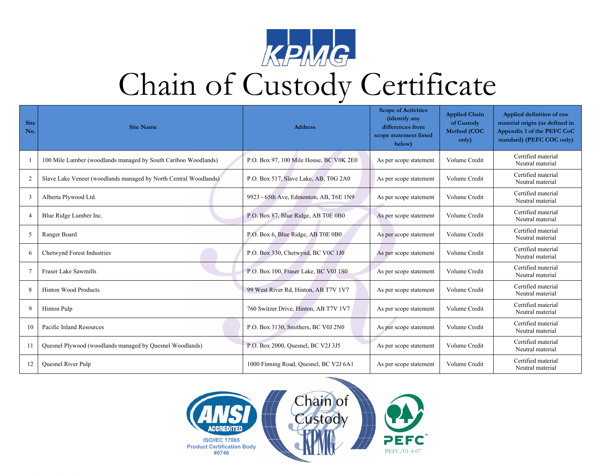

## Chain of Custody Certificate

| Site<br>No.    | <b>Site Name</b>                                                 | <b>Address</b>                          | <b>Scope of Activities</b><br>(identify any<br>differences from<br>scope statement listed<br>below) | <b>Applied Chain</b><br>of Custody<br>Method (COC<br>only) | Applied definition of raw<br>material origin (as defined in<br>Appendix 1 of the PEFC CoC<br>standard) (PEFC COC only) |
|----------------|------------------------------------------------------------------|-----------------------------------------|-----------------------------------------------------------------------------------------------------|------------------------------------------------------------|------------------------------------------------------------------------------------------------------------------------|
|                | 100 Mile Lumber (woodlands managed by South Cariboo Woodlands)   | P.O. Box 97, 100 Mile House, BC V0K 2E0 | As per scope statement                                                                              | Volume Credit                                              | Certified material<br>Neutral material                                                                                 |
| $\overline{c}$ | Slave Lake Veneer (woodlands managed by North Central Woodlands) | P.O. Box 517, Slave Lake, AB, T0G 2A0   | As per scope statement                                                                              | Volume Credit                                              | Certified material<br>Neutral material                                                                                 |
| 3              | Alberta Plywood Ltd.                                             | 9923 - 65th Ave, Edmonton, AB, T6E 1N9  | As per scope statement                                                                              | Volume Credit                                              | Certified material<br>Neutral material                                                                                 |
| $\overline{4}$ | Blue Ridge Lumber Inc.                                           | P.O. Box 87, Blue Ridge, AB T0E 0B0     | As per scope statement                                                                              | Volume Credit                                              | Certified material<br>Neutral material                                                                                 |
| 5              | Ranger Board                                                     | P.O. Box 6, Blue Ridge, AB T0E 0B0      | As per scope statement                                                                              | Volume Credit                                              | Certified material<br>Neutral material                                                                                 |
| 6              | Chetwynd Forest Industries                                       | P.O. Box 330, Chetwynd, BC V0C 1J0      | As per scope statement                                                                              | Volume Credit                                              | Certified material<br>Neutral material                                                                                 |
| 7              | <b>Fraser Lake Sawmills</b>                                      | P.O. Box 100, Fraser Lake, BC V0J 1S0   | As per scope statement                                                                              | Volume Credit                                              | Certified material<br>Neutral material                                                                                 |
| 8              | <b>Hinton Wood Products</b>                                      | 99 West River Rd, Hinton, AB T7V 1V7    | As per scope statement                                                                              | Volume Credit                                              | Certified material<br>Neutral material                                                                                 |
| 9              | Hinton Pulp                                                      | 760 Switzer Drive, Hinton, AB T7V 1V7   | As per scope statement                                                                              | Volume Credit                                              | Certified material<br>Neutral material                                                                                 |
| 10             | Pacific Inland Resources                                         | P.O. Box 3130, Smithers, BC V0J 2N0     | As per scope statement                                                                              | Volume Credit                                              | Certified material<br>Neutral material                                                                                 |
|                | Quesnel Plywood (woodlands managed by Quesnel Woodlands)         | P.O. Box 2000, Quesnel, BC V2J 3J5      | As per scope statement                                                                              | Volume Credit                                              | Certified material<br>Neutral material                                                                                 |
| 12             | <b>Ouesnel River Pulp</b>                                        | 1000 Finning Road, Quesnel, BC V2J 6A1  | As per scope statement                                                                              | Volume Credit                                              | Certified material<br>Neutral material                                                                                 |